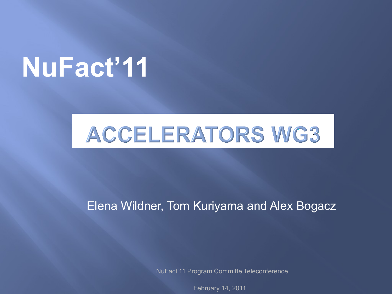# **NuFact'11**

### ACCELERATORS WG3

#### Elena Wildner, Tom Kuriyama and Alex Bogacz

NuFact'11 Program Committe Teleconference

February 14, 2011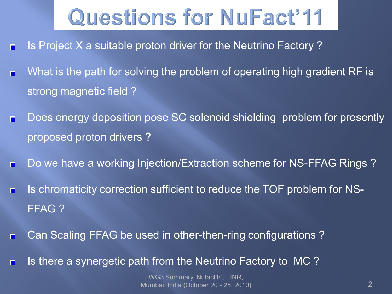## Questions for NuFact'11

- Is Project X a suitable proton driver for the Neutrino Factory ? п
- What is the path for solving the problem of operating high gradient RF is п strong magnetic field ?
- Does energy deposition pose SC solenoid shielding problem for presently п proposed proton drivers ?
- Do we have a working Injection/Extraction scheme for NS-FFAG Rings ? п
- Is chromaticity correction sufficient to reduce the TOF problem for NSп FFAG ?
- Can Scaling FFAG be used in other-then-ring configurations ? п
- Is there a synergetic path from the Neutrino Factory to MC ? П

WG3 Summary, Nufact10, TINR, Mumbai, India (October 20 - 25, 2010) 2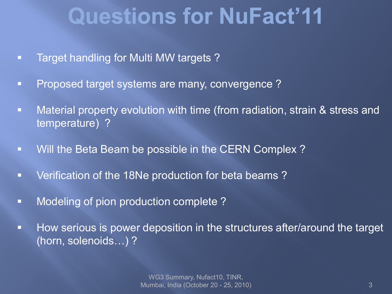## **Questions for NuFact'11**

- **Target handling for Multi MW targets?**
- **Proposed target systems are many, convergence?**
- **Material property evolution with time (from radiation, strain & stress and** temperature) ?
- **Will the Beta Beam be possible in the CERN Complex?**
- **UPERE 18Ne production for beta beams ?**
- **Modeling of pion production complete?**
- **How serious is power deposition in the structures after/around the target** (horn, solenoids…) ?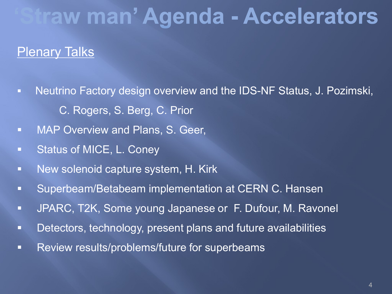#### **Plenary Talks**

**Neutrino Factory design overview and the IDS-NF Status, J. Pozimski,** 

C. Rogers, S. Berg, C. Prior

- **MAP Overview and Plans, S. Geer,**
- **EXECUTE: Status of MICE, L. Coney**
- **New solenoid capture system, H. Kirk**
- **Superbeam/Betabeam implementation at CERN C. Hansen**
- JPARC, T2K, Some young Japanese or F. Dufour, M. Ravonel
- **Detectors, technology, present plans and future availabilities**
- **Review results/problems/future for superbeams**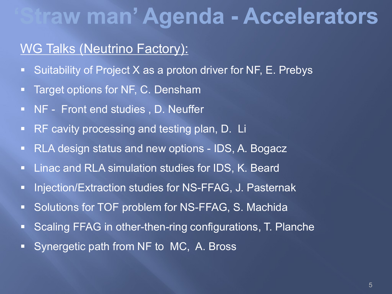#### WG Talks (Neutrino Factory):

- Suitability of Project X as a proton driver for NF, E. Prebys
- **Target options for NF, C. Densham**
- NF Front end studies , D. Neuffer
- **RF cavity processing and testing plan, D. Li**
- **RLA design status and new options IDS, A. Bogacz**
- **E** Linac and RLA simulation studies for IDS, K. Beard
- **Injection/Extraction studies for NS-FFAG, J. Pasternak**
- Solutions for TOF problem for NS-FFAG, S. Machida
- **Scaling FFAG in other-then-ring configurations, T. Planche**
- **Synergetic path from NF to MC, A. Bross**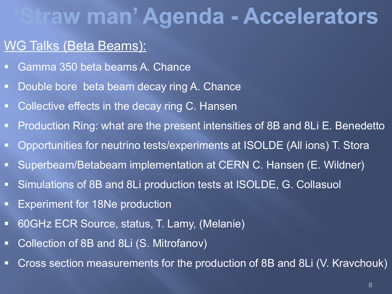#### WG Talks (Beta Beams):

- Gamma 350 beta beams A. Chance
- Double bore beta beam decay ring A. Chance
- Collective effects in the decay ring C. Hansen
- Production Ring: what are the present intensities of 8B and 8Li E. Benedetto
- Opportunities for neutrino tests/experiments at ISOLDE (All ions) T. Stora
- Superbeam/Betabeam implementation at CERN C. Hansen (E. Wildner)
- Simulations of 8B and 8Li production tests at ISOLDE, G. Collasuol
- **Experiment for 18Ne production**
- 60GHz ECR Source, status, T. Lamy, (Melanie)
- Collection of 8B and 8Li (S. Mitrofanov)
- Cross section measurements for the production of 8B and 8Li (V. Kravchouk)